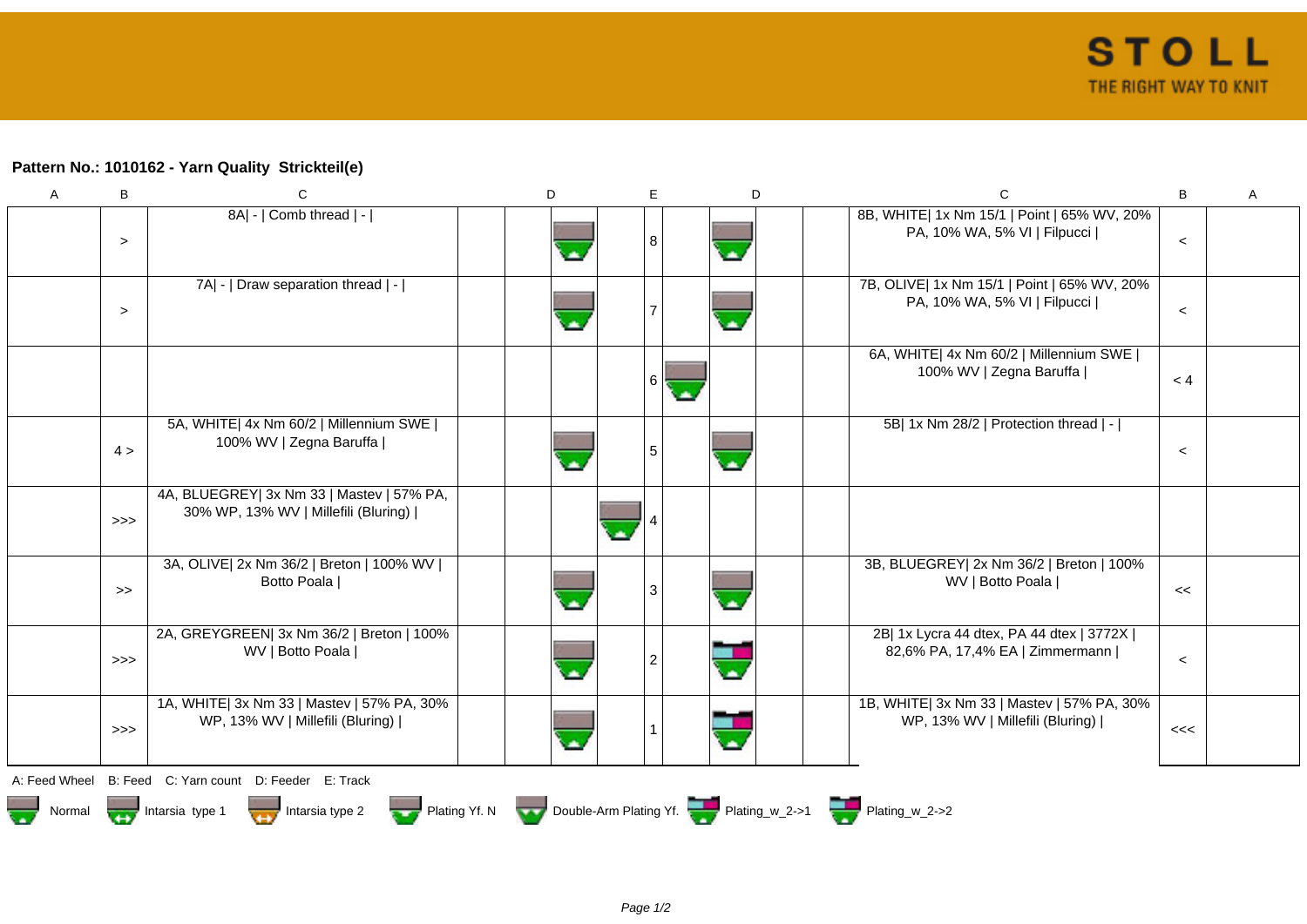## **Pattern No.: 1010162 - Yarn Quality Strickteil(e)**

| $\mathsf{A}$  | B      | $\mathsf C$                                                                       | D                                                                  | E.             | D                        | $\mathsf{C}$                                                                   | В       | Α |
|---------------|--------|-----------------------------------------------------------------------------------|--------------------------------------------------------------------|----------------|--------------------------|--------------------------------------------------------------------------------|---------|---|
|               | $\geq$ | 8A  -   Comb thread   -                                                           |                                                                    | 8              | G.                       | 8B, WHITE  1x Nm 15/1   Point   65% WV, 20%<br>PA, 10% WA, 5% VI   Filpucci    | $\,<$   |   |
|               | $\geq$ | 7A  -   Draw separation thread   -                                                |                                                                    | $\overline{7}$ | $\overline{\phantom{a}}$ | 7B, OLIVE  1x Nm 15/1   Point   65% WV, 20%<br>PA, 10% WA, 5% VI   Filpucci    | $\,<$   |   |
|               |        |                                                                                   |                                                                    | 6              |                          | 6A, WHITE  4x Nm 60/2   Millennium SWE  <br>100% WV   Zegna Baruffa            | < 4     |   |
|               | 4 >    | 5A, WHITE  4x Nm 60/2   Millennium SWE  <br>100% WV   Zegna Baruffa               |                                                                    | 5              | ζ×,                      | 5B  1x Nm 28/2   Protection thread   -                                         | $\prec$ |   |
|               | >>     | 4A, BLUEGREY  3x Nm 33   Mastev   57% PA,<br>30% WP, 13% WV   Millefili (Bluring) |                                                                    |                |                          |                                                                                |         |   |
|               | >      | 3A, OLIVE  2x Nm 36/2   Breton   100% WV  <br>Botto Poala                         |                                                                    | 3              | $\overline{\mathbf{A}}$  | 3B, BLUEGREY  2x Nm 36/2   Breton   100%<br>WV   Botto Poala                   | <<      |   |
|               | >>     | 2A, GREYGREEN  3x Nm 36/2   Breton   100%<br>WV   Botto Poala                     |                                                                    | $\overline{2}$ |                          | 2B  1x Lycra 44 dtex, PA 44 dtex   3772X  <br>82,6% PA, 17,4% EA   Zimmermann  | $\,<$   |   |
|               | >>     | 1A, WHITE  3x Nm 33   Mastev   57% PA, 30%<br>WP, 13% WV   Millefili (Bluring)    |                                                                    |                | Ñ                        | 1B, WHITE  3x Nm 33   Mastev   57% PA, 30%<br>WP, 13% WV   Millefili (Bluring) | <<      |   |
| A: Feed Wheel |        | B: Feed C: Yarn count D: Feeder E: Track                                          |                                                                    |                |                          |                                                                                |         |   |
| Normal        |        | Intarsia type 1<br>Intarsia type 2                                                | Plating Yf. N Double-Arm Plating Yf. Plating_w_2->1 Plating_w_2->2 |                |                          |                                                                                |         |   |